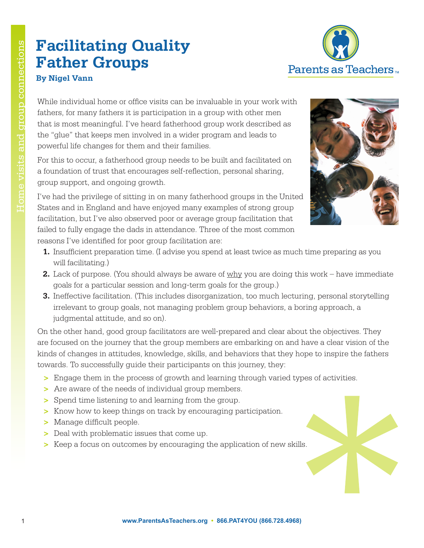# **Facilitating Quality Father Groups**



**By Nigel Vann**

**Facilitating Quality**<br> **Father Groups**<br> **Parents As above the system of the section of the section of the section of the section of the section of the section of the section of the section of the section of the section o** While individual home or office visits can be invaluable in your work with fathers, for many fathers it is participation in a group with other men that is most meaningful. I've heard fatherhood group work described as the "glue" that keeps men involved in a wider program and leads to powerful life changes for them and their families.

For this to occur, a fatherhood group needs to be built and facilitated on a foundation of trust that encourages self-reflection, personal sharing, group support, and ongoing growth.

I've had the privilege of sitting in on many fatherhood groups in the United States and in England and have enjoyed many examples of strong group facilitation, but I've also observed poor or average group facilitation that failed to fully engage the dads in attendance. Three of the most common reasons I've identified for poor group facilitation are:



- **1.** Insufficient preparation time. (I advise you spend at least twice as much time preparing as you will facilitating.)
- **2.** Lack of purpose. (You should always be aware of why you are doing this work have immediate goals for a particular session and long-term goals for the group.)
- **3.** Ineffective facilitation. (This includes disorganization, too much lecturing, personal storytelling irrelevant to group goals, not managing problem group behaviors, a boring approach, a judgmental attitude, and so on).

On the other hand, good group facilitators are well-prepared and clear about the objectives. They are focused on the journey that the group members are embarking on and have a clear vision of the kinds of changes in attitudes, knowledge, skills, and behaviors that they hope to inspire the fathers towards. To successfully guide their participants on this journey, they:

- **>** Engage them in the process of growth and learning through varied types of activities.
- **>** Are aware of the needs of individual group members.
- **>** Spend time listening to and learning from the group.
- **>** Know how to keep things on track by encouraging participation.
- **>** Manage difficult people.
- **>** Deal with problematic issues that come up.
- **>** Keep a focus on outcomes by encouraging the application of new skills.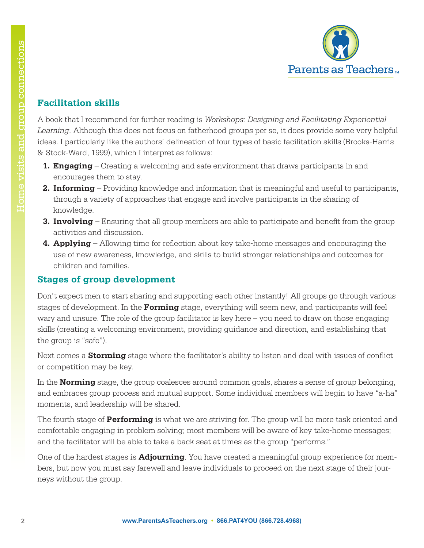

### **Facilitation skills**

A book that I recommend for further reading is *Workshops: Designing and Facilitating Experiential Learning*. Although this does not focus on fatherhood groups per se, it does provide some very helpful ideas. I particularly like the authors' delineation of four types of basic facilitation skills (Brooks-Harris & Stock-Ward, 1999), which I interpret as follows:

- **1. Engaging** Creating a welcoming and safe environment that draws participants in and encourages them to stay.
- **2. Informing** Providing knowledge and information that is meaningful and useful to participants, through a variety of approaches that engage and involve participants in the sharing of knowledge.
- **3. Involving** Ensuring that all group members are able to participate and benefit from the group activities and discussion.
- **4. Applying** Allowing time for reflection about key take-home messages and encouraging the use of new awareness, knowledge, and skills to build stronger relationships and outcomes for children and families.

#### **Stages of group development**

**Particular School Astenbers • 86**<br> **Example, Although this decay for the connection of Poickabega Designing and<br>
Learning, Although this decay not form a minimismon of our types of basic facility<br>
decay. I particularly l** Don't expect men to start sharing and supporting each other instantly! All groups go through various stages of development. In the **Forming** stage, everything will seem new, and participants will feel wary and unsure. The role of the group facilitator is key here – you need to draw on those engaging skills (creating a welcoming environment, providing guidance and direction, and establishing that the group is "safe").

Next comes a **Storming** stage where the facilitator's ability to listen and deal with issues of conflict or competition may be key.

In the **Norming** stage, the group coalesces around common goals, shares a sense of group belonging, and embraces group process and mutual support. Some individual members will begin to have "a-ha" moments, and leadership will be shared.

The fourth stage of **Performing** is what we are striving for. The group will be more task oriented and comfortable engaging in problem solving; most members will be aware of key take-home messages; and the facilitator will be able to take a back seat at times as the group "performs."

One of the hardest stages is **Adjourning**. You have created a meaningful group experience for members, but now you must say farewell and leave individuals to proceed on the next stage of their journeys without the group.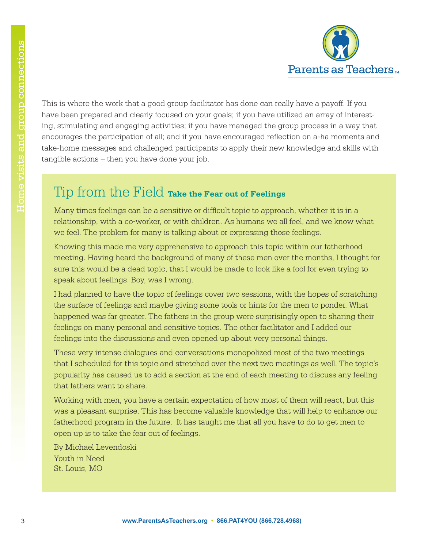

**Parents**<br>  $\frac{1}{2}$ <br>  $\frac{1}{2}$ <br>  $\frac{1}{2}$ <br>  $\frac{1}{2}$ <br>
Thus is where been perpared and denty focused on your grades if you have uncluded<br>
through a compared and denty focused in you have concouraged to<br>  $\frac{1}{2}$  through This is where the work that a good group facilitator has done can really have a payoff. If you have been prepared and clearly focused on your goals; if you have utilized an array of interesting, stimulating and engaging activities; if you have managed the group process in a way that encourages the participation of all; and if you have encouraged reflection on a-ha moments and take-home messages and challenged participants to apply their new knowledge and skills with tangible actions – then you have done your job.

## Tip from the Field **Take the Fear out of Feelings**

 Many times feelings can be a sensitive or difficult topic to approach, whether it is in a relationship, with a co-worker, or with children. As humans we all feel, and we know what we feel. The problem for many is talking about or expressing those feelings.

 Knowing this made me very apprehensive to approach this topic within our fatherhood meeting. Having heard the background of many of these men over the months, I thought for sure this would be a dead topic, that I would be made to look like a fool for even trying to speak about feelings. Boy, was I wrong.

 I had planned to have the topic of feelings cover two sessions, with the hopes of scratching the surface of feelings and maybe giving some tools or hints for the men to ponder. What happened was far greater. The fathers in the group were surprisingly open to sharing their feelings on many personal and sensitive topics. The other facilitator and I added our feelings into the discussions and even opened up about very personal things.

 These very intense dialogues and conversations monopolized most of the two meetings that I scheduled for this topic and stretched over the next two meetings as well. The topic's popularity has caused us to add a section at the end of each meeting to discuss any feeling that fathers want to share.

 Working with men, you have a certain expectation of how most of them will react, but this was a pleasant surprise. This has become valuable knowledge that will help to enhance our fatherhood program in the future. It has taught me that all you have to do to get men to open up is to take the fear out of feelings.

 By Michael Levendoski Youth in Need St. Louis, MO